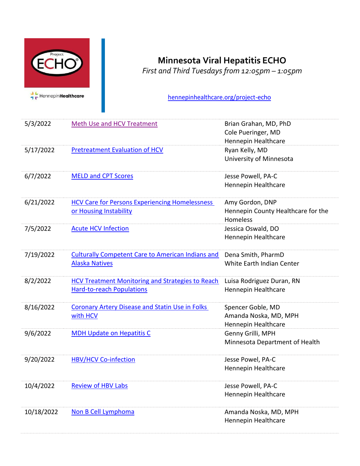

## **Minnesota Viral Hepatitis ECHO**

*First and Third Tuesdays from 12:05pm – 1:05pm* 

[hennepinhealthcare.org/project-echo](file://///mcd-fps-2/secureshare/DOM%20ECHO/Add%20Med%20ECHO%20-%20Admin/Website%20Updates/2022%20Requests/March%202022/hennepinhealthcare.org/project-echo)

| 5/3/2022   | <b>Meth Use and HCV Treatment</b>                                                           | Brian Grahan, MD, PhD<br>Cole Pueringer, MD<br>Hennepin Healthcare |
|------------|---------------------------------------------------------------------------------------------|--------------------------------------------------------------------|
| 5/17/2022  | <b>Pretreatment Evaluation of HCV</b>                                                       | Ryan Kelly, MD<br>University of Minnesota                          |
| 6/7/2022   | <b>MELD and CPT Scores</b>                                                                  | Jesse Powell, PA-C<br>Hennepin Healthcare                          |
| 6/21/2022  | <b>HCV Care for Persons Experiencing Homelessness</b><br>or Housing Instability             | Amy Gordon, DNP<br>Hennepin County Healthcare for the<br>Homeless  |
| 7/5/2022   | <b>Acute HCV Infection</b>                                                                  | Jessica Oswald, DO<br>Hennepin Healthcare                          |
| 7/19/2022  | <b>Culturally Competent Care to American Indians and</b><br><b>Alaska Natives</b>           | Dena Smith, PharmD<br>White Earth Indian Center                    |
| 8/2/2022   | <b>HCV Treatment Monitoring and Strategies to Reach</b><br><b>Hard-to-reach Populations</b> | Luisa Rodriguez Duran, RN<br>Hennepin Healthcare                   |
| 8/16/2022  | <b>Coronary Artery Disease and Statin Use in Folks</b><br>with HCV                          | Spencer Goble, MD<br>Amanda Noska, MD, MPH<br>Hennepin Healthcare  |
| 9/6/2022   | <b>MDH Update on Hepatitis C</b>                                                            | Genny Grilli, MPH<br>Minnesota Department of Health                |
| 9/20/2022  | <b>HBV/HCV Co-infection</b>                                                                 | Jesse Powel, PA-C<br>Hennepin Healthcare                           |
| 10/4/2022  | <b>Review of HBV Labs</b>                                                                   | Jesse Powell, PA-C<br>Hennepin Healthcare                          |
| 10/18/2022 | Non B Cell Lymphoma                                                                         | Amanda Noska, MD, MPH<br>Hennepin Healthcare                       |